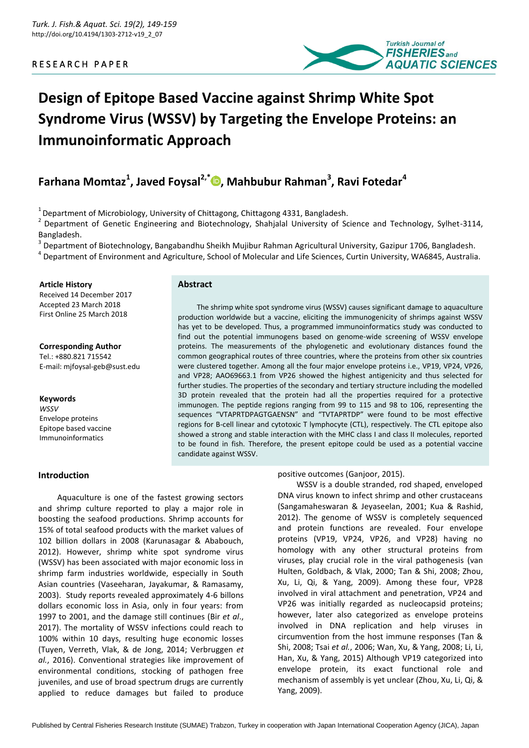# R E S E A R C H P A P E R



# **Design of Epitope Based Vaccine against Shrimp White Spot Syndrome Virus (WSSV) by Targeting the Envelope Proteins: an Immunoinformatic Approach**

# **Farhana Momtaz<sup>1</sup> , Javed Foysal2,\* [,](https://orcid.org/0000-0002-2064-8897) Mahbubur Rahman<sup>3</sup> , Ravi Fotedar<sup>4</sup>**

 $1$  Department of Microbiology, University of Chittagong, Chittagong 4331, Bangladesh.

 $2$  Department of Genetic Engineering and Biotechnology, Shahjalal University of Science and Technology, Sylhet-3114, Bangladesh.

<sup>3</sup> Department of Biotechnology, Bangabandhu Sheikh Mujibur Rahman Agricultural University, Gazipur 1706, Bangladesh.

4 Department of Environment and Agriculture, School of Molecular and Life Sciences, Curtin University, WA6845, Australia.

#### **Article History**

Received 14 December 2017 Accepted 23 March 2018 First Online 25 March 2018

**Corresponding Author** Tel.: +880.821 715542 E-mail: mjfoysal-geb@sust.edu

#### **Keywords**

*WSSV*  Envelope proteins Epitope based vaccine Immunoinformatics

# **Introduction**

# **Abstract**

The shrimp white spot syndrome virus (WSSV) causes significant damage to aquaculture production worldwide but a vaccine, eliciting the immunogenicity of shrimps against WSSV has yet to be developed. Thus, a programmed immunoinformatics study was conducted to find out the potential immunogens based on genome-wide screening of WSSV envelope proteins. The measurements of the phylogenetic and evolutionary distances found the common geographical routes of three countries, where the proteins from other six countries were clustered together. Among all the four major envelope proteins i.e., VP19, VP24, VP26, and VP28; AAO69663.1 from VP26 showed the highest antigenicity and thus selected for further studies. The properties of the secondary and tertiary structure including the modelled 3D protein revealed that the protein had all the properties required for a protective immunogen. The peptide regions ranging from 99 to 115 and 98 to 106, representing the sequences "VTAPRTDPAGTGAENSN" and "TVTAPRTDP" were found to be most effective regions for B-cell linear and cytotoxic T lymphocyte (CTL), respectively. The CTL epitope also showed a strong and stable interaction with the MHC class I and class II molecules, reported to be found in fish. Therefore, the present epitope could be used as a potential vaccine candidate against WSSV.

Aquaculture is one of the fastest growing sectors and shrimp culture reported to play a major role in boosting the seafood productions. Shrimp accounts for 15% of total seafood products with the market values of 102 billion dollars in 2008 (Karunasagar & Ababouch, 2012). However, shrimp white spot syndrome virus (WSSV) has been associated with major economic loss in shrimp farm industries worldwide, especially in South Asian countries (Vaseeharan, Jayakumar, & Ramasamy, 2003). Study reports revealed approximately 4-6 billons dollars economic loss in Asia, only in four years: from 1997 to 2001, and the damage still continues (Bir *et al*., 2017). The mortality of WSSV infections could reach to 100% within 10 days, resulting huge economic losses (Tuyen, Verreth, Vlak, & de Jong, 2014; Verbruggen *et al.*, 2016). Conventional strategies like improvement of environmental conditions, stocking of pathogen free juveniles, and use of broad spectrum drugs are currently applied to reduce damages but failed to produce positive outcomes (Ganjoor, 2015).

WSSV is a double stranded, rod shaped, enveloped DNA virus known to infect shrimp and other crustaceans (Sangamaheswaran & Jeyaseelan, 2001; Kua & Rashid, 2012). The genome of WSSV is completely sequenced and protein functions are revealed. Four envelope proteins (VP19, VP24, VP26, and VP28) having no homology with any other structural proteins from viruses, play crucial role in the viral pathogenesis (van Hulten, Goldbach, & Vlak, 2000; Tan & Shi, 2008; Zhou, Xu, Li, Qi, & Yang, 2009). Among these four, VP28 involved in viral attachment and penetration, VP24 and VP26 was initially regarded as nucleocapsid proteins; however, later also categorized as envelope proteins involved in DNA replication and help viruses in circumvention from the host immune responses (Tan & Shi, 2008; Tsai *et al.*, 2006; Wan, Xu, & Yang, 2008; Li, Li, Han, Xu, & Yang, 2015) Although VP19 categorized into envelope protein, its exact functional role and mechanism of assembly is yet unclear (Zhou, Xu, Li, Qi, & Yang, 2009).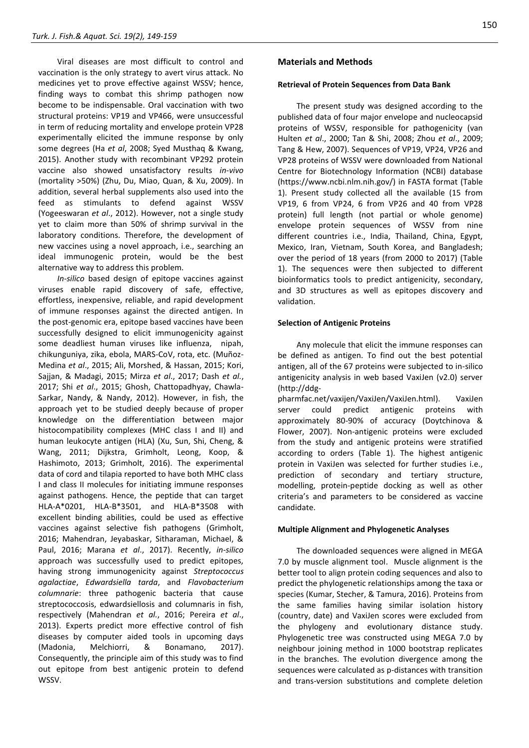Viral diseases are most difficult to control and vaccination is the only strategy to avert virus attack. No medicines yet to prove effective against WSSV; hence, finding ways to combat this shrimp pathogen now become to be indispensable. Oral vaccination with two structural proteins: VP19 and VP466, were unsuccessful in term of reducing mortality and envelope protein VP28 experimentally elicited the immune response by only some degrees (Ha *et al*, 2008; Syed Musthaq & Kwang, 2015). Another study with recombinant VP292 protein vaccine also showed unsatisfactory results *in-vivo* (mortality >50%) (Zhu, Du, Miao, Quan, & Xu, 2009). In addition, several herbal supplements also used into the feed as stimulants to defend against WSSV (Yogeeswaran *et al*., 2012). However, not a single study yet to claim more than 50% of shrimp survival in the laboratory conditions. Therefore, the development of new vaccines using a novel approach, i.e., searching an ideal immunogenic protein, would be the best alternative way to address this problem.

*In-silico* based design of epitope vaccines against viruses enable rapid discovery of safe, effective, effortless, inexpensive, reliable, and rapid development of immune responses against the directed antigen. In the post-genomic era, epitope based vaccines have been successfully designed to elicit immunogenicity against some deadliest human viruses like influenza, nipah, chikunguniya, zika, ebola, MARS-CoV, rota, etc. (Muñoz-Medina *et al*., 2015; Ali, Morshed, & Hassan, 2015; Kori, Sajjan, & Madagi, 2015; Mirza *et al*., 2017; Dash *et al.*, 2017; Shi *et al*., 2015; Ghosh, Chattopadhyay, Chawla-Sarkar, Nandy, & Nandy, 2012). However, in fish, the approach yet to be studied deeply because of proper knowledge on the differentiation between major histocompatibility complexes (MHC class I and II) and human leukocyte antigen (HLA) (Xu, Sun, Shi, Cheng, & Wang, 2011; Dijkstra, Grimholt, Leong, Koop, & Hashimoto, 2013; Grimholt, 2016). The experimental data of cord and tilapia reported to have both MHC class I and class II molecules for initiating immune responses against pathogens. Hence, the peptide that can target HLA-A\*0201, HLA-B\*3501, and HLA-B\*3508 with excellent binding abilities, could be used as effective vaccines against selective fish pathogens (Grimholt, 2016; Mahendran, Jeyabaskar, Sitharaman, Michael, & Paul, 2016; Marana *et al*., 2017). Recently, *in-silico* approach was successfully used to predict epitopes, having strong immunogenicity against *Streptococcus agalactiae*, *Edwardsiella tarda*, and *Flavobacterium columnarie*: three pathogenic bacteria that cause streptococcosis, edwardsiellosis and columnaris in fish, respectively (Mahendran *et al.*, 2016; Pereira *et al*., 2013). Experts predict more effective control of fish diseases by computer aided tools in upcoming days (Madonia, Melchiorri, & Bonamano, 2017). Consequently, the principle aim of this study was to find out epitope from best antigenic protein to defend WSSV.

# **Materials and Methods**

#### **Retrieval of Protein Sequences from Data Bank**

The present study was designed according to the published data of four major envelope and nucleocapsid proteins of WSSV, responsible for pathogenicity (van Hulten *et al*., 2000; Tan & Shi, 2008; Zhou *et al*., 2009; Tang & Hew, 2007). Sequences of VP19, VP24, VP26 and VP28 proteins of WSSV were downloaded from National Centre for Biotechnology Information (NCBI) database [\(https://www.ncbi.nlm.nih.gov/\)](https://www.ncbi.nlm.nih.gov/) in FASTA format (Table 1). Present study collected all the available (15 from VP19, 6 from VP24, 6 from VP26 and 40 from VP28 protein) full length (not partial or whole genome) envelope protein sequences of WSSV from nine different countries i.e., India, Thailand, China, Egypt, Mexico, Iran, Vietnam, South Korea, and Bangladesh; over the period of 18 years (from 2000 to 2017) (Table 1). The sequences were then subjected to different bioinformatics tools to predict antigenicity, secondary, and 3D structures as well as epitopes discovery and validation.

#### **Selection of Antigenic Proteins**

Any molecule that elicit the immune responses can be defined as antigen. To find out the best potential antigen, all of the 67 proteins were subjected to in-silico antigenicity analysis in web based VaxiJen (v2.0) server [\(http://ddg-](http://ddg-pharmfac.net/vaxijen/VaxiJen/VaxiJen.html)

[pharmfac.net/vaxijen/VaxiJen/VaxiJen.html\)](http://ddg-pharmfac.net/vaxijen/VaxiJen/VaxiJen.html). VaxiJen server could predict antigenic proteins with approximately 80-90% of accuracy (Doytchinova & Flower, 2007). Non-antigenic proteins were excluded from the study and antigenic proteins were stratified according to orders (Table 1). The highest antigenic protein in VaxiJen was selected for further studies i.e., prediction of secondary and tertiary structure, modelling, protein-peptide docking as well as other criteria's and parameters to be considered as vaccine candidate.

#### **Multiple Alignment and Phylogenetic Analyses**

The downloaded sequences were aligned in MEGA 7.0 by muscle alignment tool. Muscle alignment is the better tool to align protein coding sequences and also to predict the phylogenetic relationships among the taxa or species (Kumar, Stecher, & Tamura, 2016). Proteins from the same families having similar isolation history (country, date) and VaxiJen scores were excluded from the phylogeny and evolutionary distance study. Phylogenetic tree was constructed using MEGA 7.0 by neighbour joining method in 1000 bootstrap replicates in the branches. The evolution divergence among the sequences were calculated as p-distances with transition and trans-version substitutions and complete deletion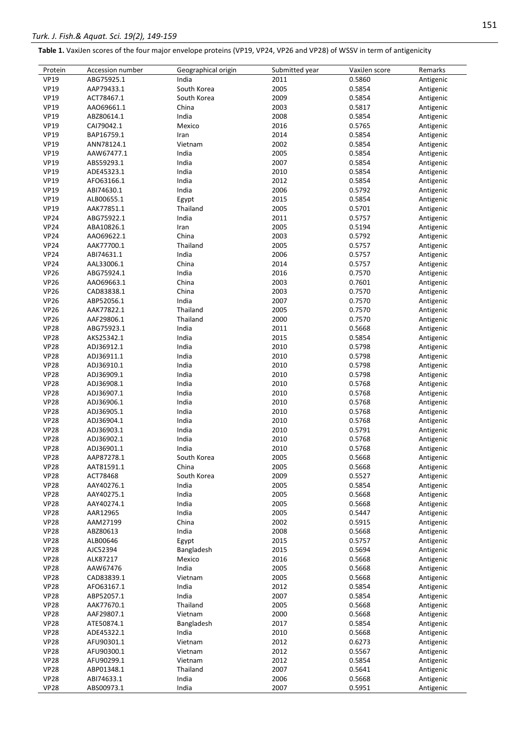| Table 1. VaxiJen scores of the four major envelope proteins (VP19, VP24, VP26 and VP28) of WSSV in term of antigenicity |  |  |  |
|-------------------------------------------------------------------------------------------------------------------------|--|--|--|
|-------------------------------------------------------------------------------------------------------------------------|--|--|--|

| Protein     | Accession number | Geographical origin | Submitted year | VaxiJen score | Remarks   |
|-------------|------------------|---------------------|----------------|---------------|-----------|
| <b>VP19</b> | ABG75925.1       | India               | 2011           | 0.5860        | Antigenic |
| <b>VP19</b> | AAP79433.1       | South Korea         | 2005           | 0.5854        | Antigenic |
| <b>VP19</b> | ACT78467.1       | South Korea         | 2009           | 0.5854        | Antigenic |
| <b>VP19</b> | AAO69661.1       | China               | 2003           | 0.5817        | Antigenic |
| <b>VP19</b> | ABZ80614.1       | India               | 2008           | 0.5854        | Antigenic |
| <b>VP19</b> | CAI79042.1       | Mexico              | 2016           | 0.5765        | Antigenic |
| <b>VP19</b> | BAP16759.1       | Iran                | 2014           | 0.5854        | Antigenic |
| <b>VP19</b> | ANN78124.1       | Vietnam             | 2002           | 0.5854        | Antigenic |
|             |                  |                     |                |               |           |
| <b>VP19</b> | AAW67477.1       | India               | 2005           | 0.5854        | Antigenic |
| <b>VP19</b> | ABS59293.1       | India               | 2007           | 0.5854        | Antigenic |
| <b>VP19</b> | ADE45323.1       | India               | 2010           | 0.5854        | Antigenic |
| <b>VP19</b> | AFO63166.1       | India               | 2012           | 0.5854        | Antigenic |
| <b>VP19</b> | ABI74630.1       | India               | 2006           | 0.5792        | Antigenic |
| <b>VP19</b> | ALB00655.1       | Egypt               | 2015           | 0.5854        | Antigenic |
| <b>VP19</b> | AAK77851.1       | Thailand            | 2005           | 0.5701        | Antigenic |
| <b>VP24</b> | ABG75922.1       | India               | 2011           | 0.5757        | Antigenic |
| <b>VP24</b> | ABA10826.1       | Iran                | 2005           | 0.5194        | Antigenic |
| <b>VP24</b> | AAO69622.1       | China               | 2003           | 0.5792        | Antigenic |
|             |                  |                     |                |               |           |
| <b>VP24</b> | AAK77700.1       | Thailand            | 2005           | 0.5757        | Antigenic |
| <b>VP24</b> | ABI74631.1       | India               | 2006           | 0.5757        | Antigenic |
| <b>VP24</b> | AAL33006.1       | China               | 2014           | 0.5757        | Antigenic |
| <b>VP26</b> | ABG75924.1       | India               | 2016           | 0.7570        | Antigenic |
| <b>VP26</b> | AAO69663.1       | China               | 2003           | 0.7601        | Antigenic |
| <b>VP26</b> | CAD83838.1       | China               | 2003           | 0.7570        | Antigenic |
| <b>VP26</b> | ABP52056.1       | India               | 2007           | 0.7570        | Antigenic |
| <b>VP26</b> | AAK77822.1       | Thailand            | 2005           | 0.7570        | Antigenic |
| <b>VP26</b> | AAF29806.1       | Thailand            | 2000           | 0.7570        | Antigenic |
|             |                  |                     |                |               |           |
| <b>VP28</b> | ABG75923.1       | India               | 2011           | 0.5668        | Antigenic |
| <b>VP28</b> | AKS25342.1       | India               | 2015           | 0.5854        | Antigenic |
| <b>VP28</b> | ADJ36912.1       | India               | 2010           | 0.5798        | Antigenic |
| <b>VP28</b> | ADJ36911.1       | India               | 2010           | 0.5798        | Antigenic |
| <b>VP28</b> | ADJ36910.1       | India               | 2010           | 0.5798        | Antigenic |
| <b>VP28</b> | ADJ36909.1       | India               | 2010           | 0.5798        | Antigenic |
| <b>VP28</b> | ADJ36908.1       | India               | 2010           | 0.5768        | Antigenic |
| <b>VP28</b> | ADJ36907.1       | India               | 2010           | 0.5768        | Antigenic |
| <b>VP28</b> | ADJ36906.1       | India               | 2010           | 0.5768        | Antigenic |
| <b>VP28</b> | ADJ36905.1       | India               | 2010           | 0.5768        | Antigenic |
|             |                  |                     |                |               |           |
| <b>VP28</b> | ADJ36904.1       | India               | 2010           | 0.5768        | Antigenic |
| <b>VP28</b> | ADJ36903.1       | India               | 2010           | 0.5791        | Antigenic |
| <b>VP28</b> | ADJ36902.1       | India               | 2010           | 0.5768        | Antigenic |
| <b>VP28</b> | ADJ36901.1       | India               | 2010           | 0.5768        | Antigenic |
| <b>VP28</b> | AAP87278.1       | South Korea         | 2005           | 0.5668        | Antigenic |
| <b>VP28</b> | AAT81591.1       | China               | 2005           | 0.5668        | Antigenic |
| <b>VP28</b> | ACT78468         | South Korea         | 2009           | 0.5527        | Antigenic |
| <b>VP28</b> | AAY40276.1       | India               | 2005           | 0.5854        | Antigenic |
| <b>VP28</b> | AAY40275.1       | India               | 2005           | 0.5668        | Antigenic |
| <b>VP28</b> | AAY40274.1       | India               | 2005           | 0.5668        | Antigenic |
| <b>VP28</b> | AAR12965         | India               | 2005           | 0.5447        | Antigenic |
|             |                  |                     |                | 0.5915        |           |
| <b>VP28</b> | AAM27199         | China               | 2002           |               | Antigenic |
| <b>VP28</b> | ABZ80613         | India               | 2008           | 0.5668        | Antigenic |
| <b>VP28</b> | ALB00646         | Egypt               | 2015           | 0.5757        | Antigenic |
| <b>VP28</b> | AJC52394         | Bangladesh          | 2015           | 0.5694        | Antigenic |
| <b>VP28</b> | ALK87217         | Mexico              | 2016           | 0.5668        | Antigenic |
| <b>VP28</b> | AAW67476         | India               | 2005           | 0.5668        | Antigenic |
| <b>VP28</b> | CAD83839.1       | Vietnam             | 2005           | 0.5668        | Antigenic |
| <b>VP28</b> | AFO63167.1       | India               | 2012           | 0.5854        | Antigenic |
| <b>VP28</b> | ABP52057.1       | India               | 2007           | 0.5854        | Antigenic |
| <b>VP28</b> | AAK77670.1       | Thailand            | 2005           | 0.5668        | Antigenic |
|             |                  |                     | 2000           | 0.5668        |           |
| <b>VP28</b> | AAF29807.1       | Vietnam             |                |               | Antigenic |
| <b>VP28</b> | ATE50874.1       | Bangladesh          | 2017           | 0.5854        | Antigenic |
| <b>VP28</b> | ADE45322.1       | India               | 2010           | 0.5668        | Antigenic |
| <b>VP28</b> | AFU90301.1       | Vietnam             | 2012           | 0.6273        | Antigenic |
| <b>VP28</b> | AFU90300.1       | Vietnam             | 2012           | 0.5567        | Antigenic |
| <b>VP28</b> | AFU90299.1       | Vietnam             | 2012           | 0.5854        | Antigenic |
| <b>VP28</b> | ABP01348.1       | Thailand            | 2007           | 0.5641        | Antigenic |
| <b>VP28</b> | ABI74633.1       | India               | 2006           | 0.5668        | Antigenic |
| <b>VP28</b> | ABS00973.1       | India               | 2007           | 0.5951        | Antigenic |
|             |                  |                     |                |               |           |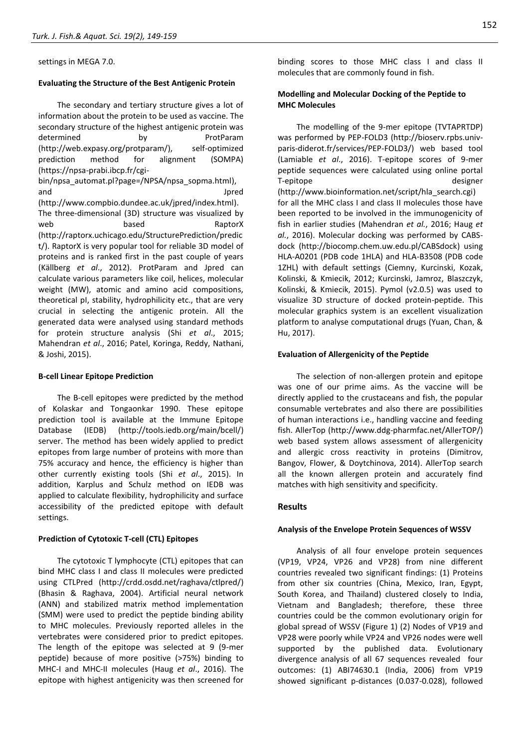settings in MEGA 7.0.

#### **Evaluating the Structure of the Best Antigenic Protein**

The secondary and tertiary structure gives a lot of information about the protein to be used as vaccine. The secondary structure of the highest antigenic protein was determined by **ProtParam** [\(http://web.expasy.org/protparam/\)](http://web.expasy.org/protparam/), self-optimized prediction method for alignment (SOMPA) [\(https://npsa-prabi.ibcp.fr/cgi-](https://npsa-prabi.ibcp.fr/cgi-bin/npsa_automat.pl?page=/NPSA/npsa_sopma.html)

bin/npsa automat.pl?page=/NPSA/npsa sopma.html), and Jpred [\(http://www.compbio.dundee.ac.uk/jpred/index.html\)](http://www.compbio.dundee.ac.uk/jpred/index.html). The three-dimensional (3D) structure was visualized by web based **RaptorX** [\(http://raptorx.uchicago.edu/StructurePrediction/predic](http://raptorx.uchicago.edu/StructurePrediction/predict/) [t/\)](http://raptorx.uchicago.edu/StructurePrediction/predict/). RaptorX is very popular tool for reliable 3D model of proteins and is ranked first in the past couple of years (Källberg *et al*., 2012). ProtParam and Jpred can calculate various parameters like coil, helices, molecular weight (MW), atomic and amino acid compositions, theoretical pI, stability, hydrophilicity etc., that are very crucial in selecting the antigenic protein. All the generated data were analysed using standard methods for protein structure analysis (Shi *et al*., 2015; Mahendran *et al*., 2016; Patel, Koringa, Reddy, Nathani, & Joshi, 2015).

#### **B-cell Linear Epitope Prediction**

The B-cell epitopes were predicted by the method of Kolaskar and Tongaonkar 1990. These epitope prediction tool is available at the Immune Epitope Database (IEDB) [\(http://tools.iedb.org/main/bcell/\)](http://tools.iedb.org/main/bcell/) server. The method has been widely applied to predict epitopes from large number of proteins with more than 75% accuracy and hence, the efficiency is higher than other currently existing tools (Shi *et al*., 2015). In addition, Karplus and Schulz method on IEDB was applied to calculate flexibility, hydrophilicity and surface accessibility of the predicted epitope with default settings.

#### **Prediction of Cytotoxic T-cell (CTL) Epitopes**

The cytotoxic T lymphocyte (CTL) epitopes that can bind MHC class I and class II molecules were predicted using CTLPred [\(http://crdd.osdd.net/raghava/ctlpred/\)](http://crdd.osdd.net/raghava/ctlpred/) (Bhasin & Raghava, 2004). Artificial neural network (ANN) and stabilized matrix method implementation (SMM) were used to predict the peptide binding ability to MHC molecules. Previously reported alleles in the vertebrates were considered prior to predict epitopes. The length of the epitope was selected at 9 (9-mer peptide) because of more positive (>75%) binding to MHC-I and MHC-II molecules (Haug *et al*., 2016). The epitope with highest antigenicity was then screened for

binding scores to those MHC class I and class II molecules that are commonly found in fish.

# **Modelling and Molecular Docking of the Peptide to MHC Molecules**

The modelling of the 9-mer epitope (TVTAPRTDP) was performed by PEP-FOLD3 [\(http://bioserv.rpbs.univ](http://bioserv.rpbs.univ-paris-diderot.fr/services/PEP-FOLD3/)[paris-diderot.fr/services/PEP-FOLD3/\)](http://bioserv.rpbs.univ-paris-diderot.fr/services/PEP-FOLD3/) web based tool (Lamiable *et al*., 2016). T-epitope scores of 9-mer peptide sequences were calculated using online portal T-epitope designer [\(http://www.bioinformation.net/script/hla\\_search.cgi\)](http://www.bioinformation.net/script/hla_search.cgi) for all the MHC class I and class II molecules those have been reported to be involved in the immunogenicity of fish in earlier studies (Mahendran *et al.*, 2016; Haug *et al.*, 2016). Molecular docking was performed by CABSdock [\(http://biocomp.chem.uw.edu.pl/CABSdock\)](http://biocomp.chem.uw.edu.pl/CABSdock) using HLA-A0201 (PDB code 1HLA) and HLA-B3508 (PDB code 1ZHL) with default settings (Ciemny, Kurcinski, Kozak, Kolinski, & Kmiecik, 2012; Kurcinski, Jamroz, Blaszczyk, Kolinski, & Kmiecik, 2015). Pymol (v2.0.5) was used to visualize 3D structure of docked protein-peptide. This molecular graphics system is an excellent visualization platform to analyse computational drugs (Yuan, Chan, & Hu, 2017).

#### **Evaluation of Allergenicity of the Peptide**

The selection of non-allergen protein and epitope was one of our prime aims. As the vaccine will be directly applied to the crustaceans and fish, the popular consumable vertebrates and also there are possibilities of human interactions i.e., handling vaccine and feeding fish. AllerTop [\(http://www.ddg-pharmfac.net/AllerTOP/\)](http://www.ddg-pharmfac.net/AllerTOP/) web based system allows assessment of allergenicity and allergic cross reactivity in proteins (Dimitrov, Bangov, Flower, & Doytchinova, 2014). AllerTop search all the known allergen protein and accurately find matches with high sensitivity and specificity.

#### **Results**

# **Analysis of the Envelope Protein Sequences of WSSV**

Analysis of all four envelope protein sequences (VP19, VP24, VP26 and VP28) from nine different countries revealed two significant findings: (1) Proteins from other six countries (China, Mexico, Iran, Egypt, South Korea, and Thailand) clustered closely to India, Vietnam and Bangladesh; therefore, these three countries could be the common evolutionary origin for global spread of WSSV (Figure 1) (2) Nodes of VP19 and VP28 were poorly while VP24 and VP26 nodes were well supported by the published data. Evolutionary divergence analysis of all 67 sequences revealed four outcomes: (1) ABI74630.1 (India, 2006) from VP19 showed significant p-distances (0.037-0.028), followed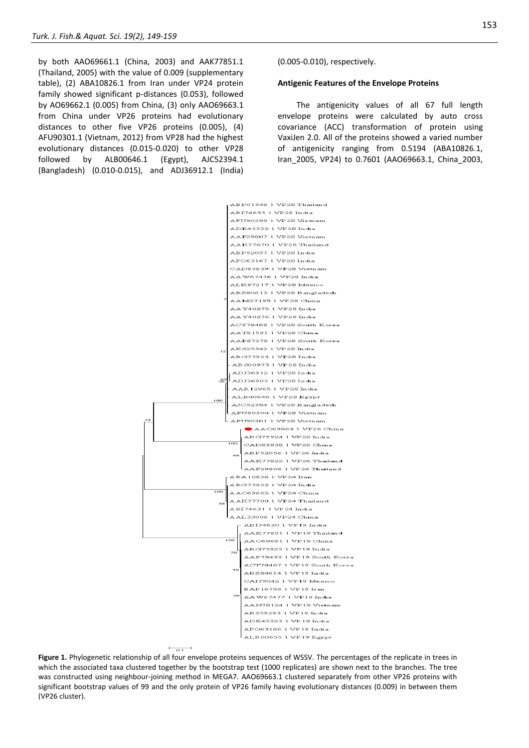by both AAO69661.1 (China, 2003) and AAK77851.1 (Thailand, 2005) with the value of 0.009 (supplementary table), (2) ABA10826.1 from Iran under VP24 protein family showed significant p-distances (0.053), followed by AO69662.1 (0.005) from China, (3) only AAO69663.1 from China under VP26 proteins had evolutionary distances to other five VP26 proteins (0.005), (4) AFU90301.1 (Vietnam, 2012) from VP28 had the highest evolutionary distances (0.015-0.020) to other VP28 followed by ALB00646.1 (Egypt), AJC52394.1 (Bangladesh) (0.010-0.015), and ADJ36912.1 (India)

(0.005-0.010), respectively.

#### **Antigenic Features of the Envelope Proteins**

The antigenicity values of all 67 full length envelope proteins were calculated by auto cross covariance (ACC) transformation of protein using VaxiJen 2.0. All of the proteins showed a varied number of antigenicity ranging from 0.5194 (ABA10826.1, Iran\_2005, VP24) to 0.7601 (AAO69663.1, China\_2003,



Figure 1. Phylogenetic relationship of all four envelope proteins sequences of WSSV. The percentages of the replicate in trees in which the associated taxa clustered together by the bootstrap test (1000 replicates) are shown next to the branches. The tree was constructed using neighbour-joining method in MEGA7. AAO69663.1 clustered separately from other VP26 proteins with significant bootstrap values of 99 and the only protein of VP26 family having evolutionary distances (0.009) in between them (VP26 cluster).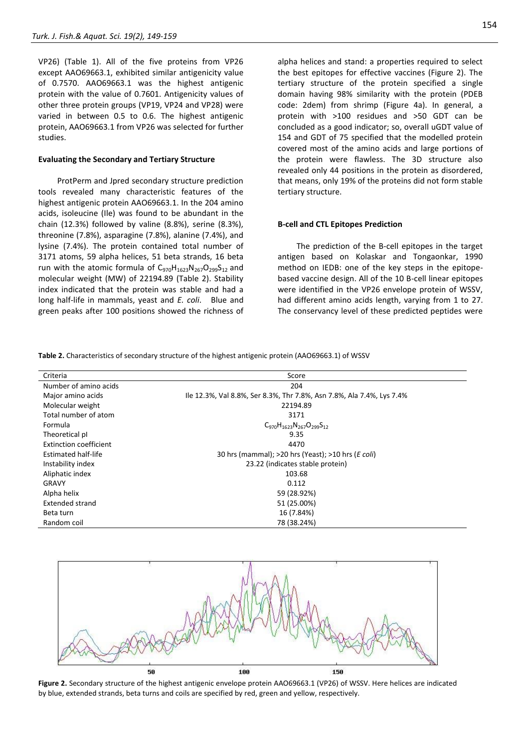VP26) (Table 1). All of the five proteins from VP26 except AAO69663.1, exhibited similar antigenicity value of 0.7570. AAO69663.1 was the highest antigenic protein with the value of 0.7601. Antigenicity values of other three protein groups (VP19, VP24 and VP28) were varied in between 0.5 to 0.6. The highest antigenic protein, AAO69663.1 from VP26 was selected for further studies.

#### **Evaluating the Secondary and Tertiary Structure**

ProtPerm and Jpred secondary structure prediction tools revealed many characteristic features of the highest antigenic protein AAO69663.1. In the 204 amino acids, isoleucine (Ile) was found to be abundant in the chain (12.3%) followed by valine (8.8%), serine (8.3%), threonine (7.8%), asparagine (7.8%), alanine (7.4%), and lysine (7.4%). The protein contained total number of 3171 atoms, 59 alpha helices, 51 beta strands, 16 beta run with the atomic formula of  $C_{970}H_{1623}N_{267}O_{299}S_{12}$  and molecular weight (MW) of 22194.89 (Table 2). Stability index indicated that the protein was stable and had a long half-life in mammals, yeast and *E. coli*. Blue and green peaks after 100 positions showed the richness of

alpha helices and stand: a properties required to select the best epitopes for effective vaccines (Figure 2). The tertiary structure of the protein specified a single domain having 98% similarity with the protein (PDEB code: 2dem) from shrimp (Figure 4a). In general, a protein with >100 residues and >50 GDT can be concluded as a good indicator; so, overall uGDT value of 154 and GDT of 75 specified that the modelled protein covered most of the amino acids and large portions of the protein were flawless. The 3D structure also revealed only 44 positions in the protein as disordered, that means, only 19% of the proteins did not form stable tertiary structure.

#### **B-cell and CTL Epitopes Prediction**

The prediction of the B-cell epitopes in the target antigen based on Kolaskar and Tongaonkar, 1990 method on IEDB: one of the key steps in the epitopebased vaccine design. All of the 10 B-cell linear epitopes were identified in the VP26 envelope protein of WSSV, had different amino acids length, varying from 1 to 27. The conservancy level of these predicted peptides were

**Table 2.** Characteristics of secondary structure of the highest antigenic protein (AAO69663.1) of WSSV

| Criteria                   | Score                                                                 |  |
|----------------------------|-----------------------------------------------------------------------|--|
| Number of amino acids      | 204                                                                   |  |
| Major amino acids          | Ile 12.3%, Val 8.8%, Ser 8.3%, Thr 7.8%, Asn 7.8%, Ala 7.4%, Lys 7.4% |  |
| Molecular weight           | 22194.89                                                              |  |
| Total number of atom       | 3171                                                                  |  |
| Formula                    | $C_{970}H_{1623}N_{267}O_{299}S_{12}$                                 |  |
| Theoretical pl             | 9.35                                                                  |  |
| Extinction coefficient     | 4470                                                                  |  |
| <b>Estimated half-life</b> | 30 hrs (mammal); >20 hrs (Yeast); >10 hrs (E coli)                    |  |
| Instability index          | 23.22 (indicates stable protein)                                      |  |
| Aliphatic index            | 103.68                                                                |  |
| <b>GRAVY</b>               | 0.112                                                                 |  |
| Alpha helix                | 59 (28.92%)                                                           |  |
| <b>Extended strand</b>     | 51 (25.00%)                                                           |  |
| Beta turn                  | 16 (7.84%)                                                            |  |
| Random coil                | 78 (38.24%)                                                           |  |



**Figure 2.** Secondary structure of the highest antigenic envelope protein AAO69663.1 (VP26) of WSSV. Here helices are indicated by blue, extended strands, beta turns and coils are specified by red, green and yellow, respectively.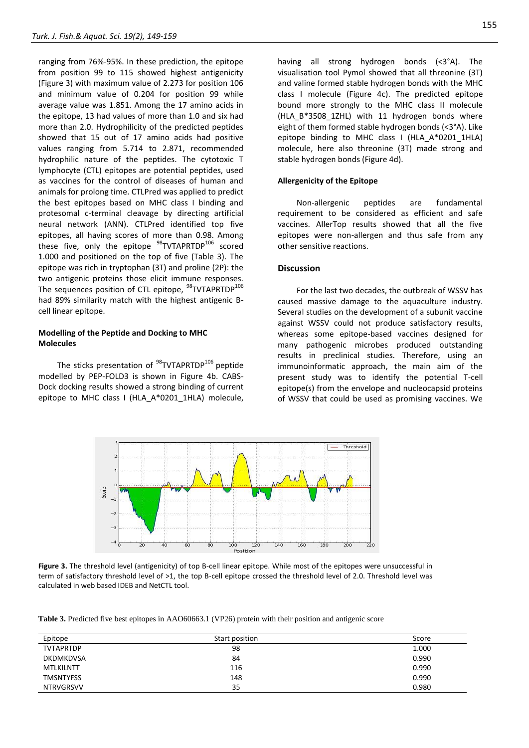ranging from 76%-95%. In these prediction, the epitope from position 99 to 115 showed highest antigenicity (Figure 3) with maximum value of 2.273 for position 106 and minimum value of 0.204 for position 99 while average value was 1.851. Among the 17 amino acids in the epitope, 13 had values of more than 1.0 and six had more than 2.0. Hydrophilicity of the predicted peptides showed that 15 out of 17 amino acids had positive values ranging from 5.714 to 2.871, recommended hydrophilic nature of the peptides. The cytotoxic T lymphocyte (CTL) epitopes are potential peptides, used as vaccines for the control of diseases of human and animals for prolong time. CTLPred was applied to predict the best epitopes based on MHC class I binding and protesomal c-terminal cleavage by directing artificial neural network (ANN). CTLPred identified top five epitopes, all having scores of more than 0.98. Among these five, only the epitope  $^{98}$ TVTAPRTDP $^{106}$  scored 1.000 and positioned on the top of five (Table 3). The epitope was rich in tryptophan (3T) and proline (2P): the two antigenic proteins those elicit immune responses. The sequences position of CTL epitope, <sup>98</sup>TVTAPRTDP<sup>106</sup> had 89% similarity match with the highest antigenic Bcell linear epitope.

# **Modelling of the Peptide and Docking to MHC Molecules**

The sticks presentation of  $^{98}$ TVTAPRTDP<sup>106</sup> peptide modelled by PEP-FOLD3 is shown in Figure 4b. CABS-Dock docking results showed a strong binding of current epitope to MHC class I (HLA A\*0201 1HLA) molecule,

having all strong hydrogen bonds (<3°A). The visualisation tool Pymol showed that all threonine (3T) and valine formed stable hydrogen bonds with the MHC class I molecule (Figure 4c). The predicted epitope bound more strongly to the MHC class II molecule (HLA\_B\*3508\_1ZHL) with 11 hydrogen bonds where eight of them formed stable hydrogen bonds (<3°A). Like epitope binding to MHC class I (HLA\_A\*0201\_1HLA) molecule, here also threonine (3T) made strong and stable hydrogen bonds (Figure 4d).

# **Allergenicity of the Epitope**

Non-allergenic peptides are fundamental requirement to be considered as efficient and safe vaccines. AllerTop results showed that all the five epitopes were non-allergen and thus safe from any other sensitive reactions.

# **Discussion**

For the last two decades, the outbreak of WSSV has caused massive damage to the aquaculture industry. Several studies on the development of a subunit vaccine against WSSV could not produce satisfactory results, whereas some epitope-based vaccines designed for many pathogenic microbes produced outstanding results in preclinical studies. Therefore, using an immunoinformatic approach, the main aim of the present study was to identify the potential T-cell epitope(s) from the envelope and nucleocapsid proteins of WSSV that could be used as promising vaccines. We



**Figure 3.** The threshold level (antigenicity) of top B-cell linear epitope. While most of the epitopes were unsuccessful in term of satisfactory threshold level of >1, the top B-cell epitope crossed the threshold level of 2.0. Threshold level was calculated in web based IDEB and NetCTL tool.

**Table 3.** Predicted five best epitopes in AAO60663.1 (VP26) protein with their position and antigenic score

| Epitope          | Start position | Score |
|------------------|----------------|-------|
| <b>TVTAPRTDP</b> | 98             | 1.000 |
| <b>DKDMKDVSA</b> | 84             | 0.990 |
| <b>MTLKILNTT</b> | 116            | 0.990 |
| <b>TMSNTYFSS</b> | 148            | 0.990 |
| <b>NTRVGRSVV</b> | 35             | 0.980 |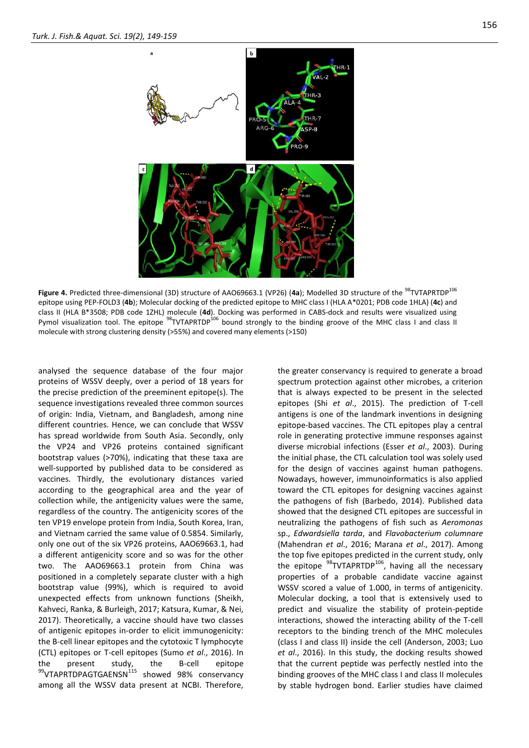



**Figure 4.** Predicted three-dimensional (3D) structure of AAO69663.1 (VP26) (4a); Modelled 3D structure of the <sup>98</sup>TVTAPRTDP<sup>106</sup> epitope using PEP-FOLD3 (**4b**); Molecular docking of the predicted epitope to MHC class I (HLA A\*0201; PDB code 1HLA) (**4c**) and class II (HLA B\*3508; PDB code 1ZHL) molecule (**4d**). Docking was performed in CABS-dock and results were visualized using Pymol visualization tool. The epitope <sup>98</sup>TVTAPRTDP<sup>106</sup> bound strongly to the binding groove of the MHC class I and class II molecule with strong clustering density (>55%) and covered many elements (>150)

analysed the sequence database of the four major proteins of WSSV deeply, over a period of 18 years for the precise prediction of the preeminent epitope(s). The sequence investigations revealed three common sources of origin: India, Vietnam, and Bangladesh, among nine different countries. Hence, we can conclude that WSSV has spread worldwide from South Asia. Secondly, only the VP24 and VP26 proteins contained significant bootstrap values (>70%), indicating that these taxa are well-supported by published data to be considered as vaccines. Thirdly, the evolutionary distances varied according to the geographical area and the year of collection while, the antigenicity values were the same, regardless of the country. The antigenicity scores of the ten VP19 envelope protein from India, South Korea, Iran, and Vietnam carried the same value of 0.5854. Similarly, only one out of the six VP26 proteins, AAO69663.1, had a different antigenicity score and so was for the other two. The AAO69663.1 protein from China was positioned in a completely separate cluster with a high bootstrap value (99%), which is required to avoid unexpected effects from unknown functions (Sheikh, Kahveci, Ranka, & Burleigh, 2017; Katsura, Kumar, & Nei, 2017). Theoretically, a vaccine should have two classes of antigenic epitopes in-order to elicit immunogenicity: the B-cell linear epitopes and the cytotoxic T lymphocyte (CTL) epitopes or T-cell epitopes (Sumo *et al*., 2016). In the present study, the B-cell epitope 99VTAPRTDPAGTGAENSN<sup>115</sup> showed 98% conservancy among all the WSSV data present at NCBI. Therefore,

the greater conservancy is required to generate a broad spectrum protection against other microbes, a criterion that is always expected to be present in the selected epitopes (Shi *et al*., 2015). The prediction of T-cell antigens is one of the landmark inventions in designing epitope-based vaccines. The CTL epitopes play a central role in generating protective immune responses against diverse microbial infections (Esser *et al*., 2003). During the initial phase, the CTL calculation tool was solely used for the design of vaccines against human pathogens. Nowadays, however, immunoinformatics is also applied toward the CTL epitopes for designing vaccines against the pathogens of fish (Barbedo, 2014). Published data showed that the designed CTL epitopes are successful in neutralizing the pathogens of fish such as *Aeromonas* sp., *Edwardsiella tarda*, and *Flavobacterium columnare* (Mahendran *et al*., 2016; Marana *et al*., 2017). Among the top five epitopes predicted in the current study, only the epitope <sup>98</sup>TVTAPRTDP<sup>106</sup>, having all the necessary properties of a probable candidate vaccine against WSSV scored a value of 1.000, in terms of antigenicity. Molecular docking, a tool that is extensively used to predict and visualize the stability of protein-peptide interactions, showed the interacting ability of the T-cell receptors to the binding trench of the MHC molecules (class I and class II) inside the cell (Anderson, 2003; Luo *et al*., 2016). In this study, the docking results showed that the current peptide was perfectly nestled into the binding grooves of the MHC class I and class II molecules by stable hydrogen bond. Earlier studies have claimed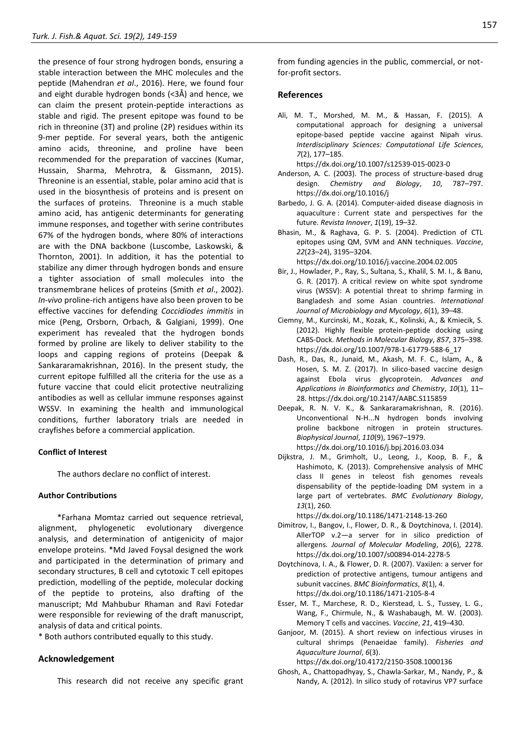the presence of four strong hydrogen bonds, ensuring a stable interaction between the MHC molecules and the peptide (Mahendran *et al*., 2016). Here, we found four and eight durable hydrogen bonds (<3Å) and hence, we can claim the present protein-peptide interactions as stable and rigid. The present epitope was found to be rich in threonine (3T) and proline (2P) residues within its 9-mer peptide. For several years, both the antigenic amino acids, threonine, and proline have been recommended for the preparation of vaccines (Kumar, Hussain, Sharma, Mehrotra, & Gissmann, 2015). Threonine is an essential, stable, polar amino acid that is used in the biosynthesis of proteins and is present on the surfaces of proteins. Threonine is a much stable amino acid, has antigenic determinants for generating immune responses, and together with serine contributes 67% of the hydrogen bonds, where 80% of interactions are with the DNA backbone (Luscombe, Laskowski, & Thornton, 2001). In addition, it has the potential to stabilize any dimer through hydrogen bonds and ensure a tighter association of small molecules into the transmembrane helices of proteins (Smith *et al*., 2002). *In-vivo* proline-rich antigens have also been proven to be effective vaccines for defending *Coccidiodes immitis* in mice (Peng, Orsborn, Orbach, & Galgiani, 1999). One experiment has revealed that the hydrogen bonds formed by proline are likely to deliver stability to the loops and capping regions of proteins (Deepak & Sankararamakrishnan, 2016). In the present study, the current epitope fulfilled all the criteria for the use as a future vaccine that could elicit protective neutralizing antibodies as well as cellular immune responses against WSSV. In examining the health and immunological conditions, further laboratory trials are needed in crayfishes before a commercial application.

#### **Conflict of Interest**

The authors declare no conflict of interest.

#### **Author Contributions**

\*Farhana Momtaz carried out sequence retrieval, alignment, phylogenetic evolutionary divergence analysis, and determination of antigenicity of major envelope proteins. \*Md Javed Foysal designed the work and participated in the determination of primary and secondary structures, B cell and cytotoxic T cell epitopes prediction, modelling of the peptide, molecular docking of the peptide to proteins, also drafting of the manuscript; Md Mahbubur Rhaman and Ravi Fotedar were responsible for reviewing of the draft manuscript, analysis of data and critical points.

\* Both authors contributed equally to this study.

#### **Acknowledgement**

This research did not receive any specific grant

from funding agencies in the public, commercial, or notfor-profit sectors.

# **References**

Ali, M. T., Morshed, M. M., & Hassan, F. (2015). A computational approach for designing a universal epitope-based peptide vaccine against Nipah virus. *Interdisciplinary Sciences: Computational Life Sciences*, *7*(2), 177–185.

https://dx.doi.org/10.1007/s12539-015-0023-0

- Anderson, A. C. (2003). The process of structure-based drug design. *Chemistry and Biology*, *10*, 787–797. https://dx.doi.org/10.1016/j
- Barbedo, J. G. A. (2014). Computer-aided disease diagnosis in aquaculture : Current state and perspectives for the future. *Revista Innover*, *1*(19), 19–32.
- Bhasin, M., & Raghava, G. P. S. (2004). Prediction of CTL epitopes using QM, SVM and ANN techniques. *Vaccine*, *22*(23–24), 3195–3204.

https://dx.doi.org/10.1016/j.vaccine.2004.02.005

- Bir, J., Howlader, P., Ray, S., Sultana, S., Khalil, S. M. I., & Banu, G. R. (2017). A critical review on white spot syndrome virus (WSSV): A potential threat to shrimp farming in Bangladesh and some Asian countries. *International Journal of Microbiology and Mycology*, *6*(1), 39–48.
- Ciemny, M., Kurcinski, M., Kozak, K., Kolinski, A., & Kmiecik, S. (2012). Highly flexible protein-peptide docking using CABS-Dock. *Methods in Molecular Biology*, *857*, 375–398. https://dx.doi.org/10.1007/978-1-61779-588-6\_17
- Dash, R., Das, R., Junaid, M., Akash, M. F. C., Islam, A., & Hosen, S. M. Z. (2017). In silico-based vaccine design against Ebola virus glycoprotein. *Advances and Applications in Bioinformatics and Chemistry*, *10*(1), 11– 28. https://dx.doi.org/10.2147/AABC.S115859
- Deepak, R. N. V. K., & Sankararamakrishnan, R. (2016). Unconventional N-H...N hydrogen bonds involving proline backbone nitrogen in protein structures. *Biophysical Journal*, *110*(9), 1967–1979. https://dx.doi.org/10.1016/j.bpj.2016.03.034
- Dijkstra, J. M., Grimholt, U., Leong, J., Koop, B. F., & Hashimoto, K. (2013). Comprehensive analysis of MHC class II genes in teleost fish genomes reveals dispensability of the peptide-loading DM system in a large part of vertebrates. *BMC Evolutionary Biology*, *13*(1), 260.

https://dx.doi.org/10.1186/1471-2148-13-260

- Dimitrov, I., Bangov, I., Flower, D. R., & Doytchinova, I. (2014). AllerTOP v.2—a server for in silico prediction of allergens. *Journal of Molecular Modeling*, *20*(6), 2278. https://dx.doi.org/10.1007/s00894-014-2278-5
- Doytchinova, I. A., & Flower, D. R. (2007). VaxiJen: a server for prediction of protective antigens, tumour antigens and subunit vaccines. *BMC Bioinformatics*, *8*(1), 4. https://dx.doi.org/10.1186/1471-2105-8-4
- Esser, M. T., Marchese, R. D., Kierstead, L. S., Tussey, L. G., Wang, F., Chirmule, N., & Washabaugh, M. W. (2003). Memory T cells and vaccines. *Vaccine*, *21*, 419–430.
- Ganjoor, M. (2015). A short review on infectious viruses in cultural shrimps (Penaeidae family). *Fisheries and Aquaculture Journal*, *6*(3).

https://dx.doi.org/10.4172/2150-3508.1000136

Ghosh, A., Chattopadhyay, S., Chawla-Sarkar, M., Nandy, P., & Nandy, A. (2012). In silico study of rotavirus VP7 surface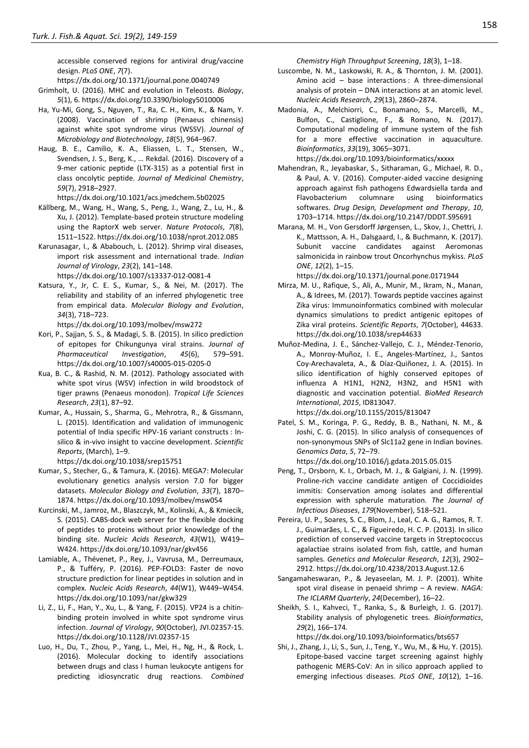accessible conserved regions for antiviral drug/vaccine design. *PLoS ONE*, *7*(7).

https://dx.doi.org/10.1371/journal.pone.0040749

- Grimholt, U. (2016). MHC and evolution in Teleosts. *Biology*, *5*(1), 6. https://dx.doi.org/10.3390/biology5010006
- Ha, Yu-Mi, Gong, S., Nguyen, T., Ra, C. H., Kim, K., & Nam, Y. (2008). Vaccination of shrimp (Penaeus chinensis) against white spot syndrome virus (WSSV). *Journal of Microbiology and Biotechnology*, *18*(5), 964–967.
- Haug, B. E., Camilio, K. A., Eliassen, L. T., Stensen, W., Svendsen, J. S., Berg, K., … Rekdal. (2016). Discovery of a 9-mer cationic peptide (LTX-315) as a potential first in class oncolytic peptide. *Journal of Medicinal Chemistry*, *59*(7), 2918–2927.

https://dx.doi.org/10.1021/acs.jmedchem.5b02025

- Källberg, M., Wang, H., Wang, S., Peng, J., Wang, Z., Lu, H., & Xu, J. (2012). Template-based protein structure modeling using the RaptorX web server. *Nature Protocols*, *7*(8), 1511–1522. https://dx.doi.org/10.1038/nprot.2012.085
- Karunasagar, I., & Ababouch, L. (2012). Shrimp viral diseases, import risk assessment and international trade. *Indian Journal of Virology*, *23*(2), 141–148. https://dx.doi.org/10.1007/s13337-012-0081-4
- Katsura, Y., Jr, C. E. S., Kumar, S., & Nei, M. (2017). The reliability and stability of an inferred phylogenetic tree from empirical data. *Molecular Biology and Evolution*, *34*(3), 718–723.

https://dx.doi.org/10.1093/molbev/msw272

- Kori, P., Sajjan, S. S., & Madagi, S. B. (2015). In silico prediction of epitopes for Chikungunya viral strains. *Journal of Pharmaceutical Investigation*, *45*(6), 579–591. https://dx.doi.org/10.1007/s40005-015-0205-0
- Kua, B. C., & Rashid, N. M. (2012). Pathology associated with white spot virus (WSV) infection in wild broodstock of tiger prawns (Penaeus monodon). *Tropical Life Sciences Research*, *23*(1), 87–92.
- Kumar, A., Hussain, S., Sharma, G., Mehrotra, R., & Gissmann, L. (2015). Identification and validation of immunogenic potential of India specific HPV-16 variant constructs : Insilico & in-vivo insight to vaccine development. *Scientific Reports*, (March), 1–9.

https://dx.doi.org/10.1038/srep15751

- Kumar, S., Stecher, G., & Tamura, K. (2016). MEGA7: Molecular evolutionary genetics analysis version 7.0 for bigger datasets. *Molecular Biology and Evolution*, *33*(7), 1870– 1874. https://dx.doi.org/10.1093/molbev/msw054
- Kurcinski, M., Jamroz, M., Blaszczyk, M., Kolinski, A., & Kmiecik, S. (2015). CABS-dock web server for the flexible docking of peptides to proteins without prior knowledge of the binding site. *Nucleic Acids Research*, *43*(W1), W419– W424. https://dx.doi.org/10.1093/nar/gkv456
- Lamiable, A., Thévenet, P., Rey, J., Vavrusa, M., Derreumaux, P., & Tufféry, P. (2016). PEP-FOLD3: Faster de novo structure prediction for linear peptides in solution and in complex. *Nucleic Acids Research*, *44*(W1), W449–W454. https://dx.doi.org/10.1093/nar/gkw329
- Li, Z., Li, F., Han, Y., Xu, L., & Yang, F. (2015). VP24 is a chitinbinding protein involved in white spot syndrome virus infection. *Journal of Virology*, *90*(October), JVI.02357-15. https://dx.doi.org/10.1128/JVI.02357-15
- Luo, H., Du, T., Zhou, P., Yang, L., Mei, H., Ng, H., & Rock, L. (2016). Molecular docking to identify associations between drugs and class I human leukocyte antigens for predicting idiosyncratic drug reactions. *Combined*

*Chemistry High Throughput Screening*, *18*(3), 1–18.

- Luscombe, N. M., Laskowski, R. A., & Thornton, J. M. (2001). Amino acid – base interactions : A three-dimensional analysis of protein – DNA interactions at an atomic level. *Nucleic Acids Research*, *29*(13), 2860–2874.
- Madonia, A., Melchiorri, C., Bonamano, S., Marcelli, M., Bulfon, C., Castiglione, F., & Romano, N. (2017). Computational modeling of immune system of the fish for a more effective vaccination in aquaculture. *Bioinformatics*, *33*(19), 3065–3071. https://dx.doi.org/10.1093/bioinformatics/xxxxx
- Mahendran, R., Jeyabaskar, S., Sitharaman, G., Michael, R. D., & Paul, A. V. (2016). Computer-aided vaccine designing approach against fish pathogens Edwardsiella tarda and Flavobacterium columnare using bioinformatics softwares. *Drug Design, Development and Therapy*, *10*, 1703–1714. https://dx.doi.org/10.2147/DDDT.S95691
- Marana, M. H., Von Gersdorff Jørgensen, L., Skov, J., Chettri, J. K., Mattsson, A. H., Dalsgaard, I., & Buchmann, K. (2017). Subunit vaccine candidates against Aeromonas salmonicida in rainbow trout Oncorhynchus mykiss. *PLoS ONE*, *12*(2), 1–15.

https://dx.doi.org/10.1371/journal.pone.0171944

- Mirza, M. U., Rafique, S., Ali, A., Munir, M., Ikram, N., Manan, A., & Idrees, M. (2017). Towards peptide vaccines against Zika virus: Immunoinformatics combined with molecular dynamics simulations to predict antigenic epitopes of Zika viral proteins. *Scientific Reports*, *7*(October), 44633. https://dx.doi.org/10.1038/srep44633
- Muñoz-Medina, J. E., Sánchez-Vallejo, C. J., Méndez-Tenorio, A., Monroy-Muñoz, I. E., Angeles-Martínez, J., Santos Coy-Arechavaleta, A., & Díaz-Quiñonez, J. A. (2015). In silico identification of highly conserved epitopes of influenza A H1N1, H2N2, H3N2, and H5N1 with diagnostic and vaccination potential. *BioMed Research International*, *2015*, ID813047. https://dx.doi.org/10.1155/2015/813047
- Patel, S. M., Koringa, P. G., Reddy, B. B., Nathani, N. M., & Joshi, C. G. (2015). In silico analysis of consequences of non-synonymous SNPs of Slc11a2 gene in Indian bovines. *Genomics Data*, *5*, 72–79.

https://dx.doi.org/10.1016/j.gdata.2015.05.015

- Peng, T., Orsborn, K. I., Orbach, M. J., & Galgiani, J. N. (1999). Proline-rich vaccine candidate antigen of Coccidioides immitis: Conservation among isolates and differential expression with spherule maturation. *The Journal of Infectious Diseases*, *179*(November), 518–521.
- Pereira, U. P., Soares, S. C., Blom, J., Leal, C. A. G., Ramos, R. T. J., Guimarães, L. C., & Figueiredo, H. C. P. (2013). In silico prediction of conserved vaccine targets in Streptococcus agalactiae strains isolated from fish, cattle, and human samples. *Genetics and Molecular Research*, *12*(3), 2902– 2912. https://dx.doi.org/10.4238/2013.August.12.6
- Sangamaheswaran, P., & Jeyaseelan, M. J. P. (2001). White spot viral disease in penaeid shrimp – A review. *NAGA: The ICLARM Quarterly*, *24*(December), 16–22.
- Sheikh, S. I., Kahveci, T., Ranka, S., & Burleigh, J. G. (2017). Stability analysis of phylogenetic trees. *Bioinformatics*, *29*(2), 166–174. https://dx.doi.org/10.1093/bioinformatics/bts657

Shi, J., Zhang, J., Li, S., Sun, J., Teng, Y., Wu, M., & Hu, Y. (2015). Epitope-based vaccine target screening against highly pathogenic MERS-CoV: An in silico approach applied to emerging infectious diseases. *PLoS ONE*, *10*(12), 1–16.